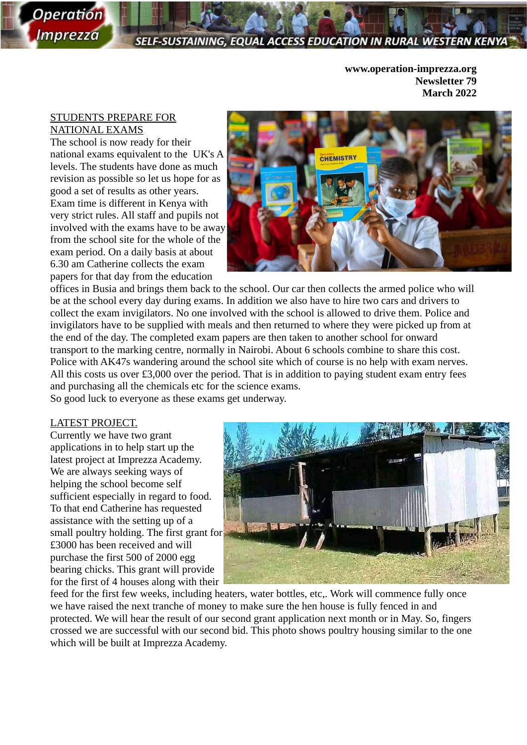# SELF-SUSTAINING, EQUAL ACCESS EDUCATION IN RURAL WESTERN

**www.operation-imprezza.org Newsletter 79 March 2022**

## STUDENTS PREPARE FOR NATIONAL EXAMS

*Operation* 

*Imprezza* 

The school is now ready for their national exams equivalent to the UK's A levels. The students have done as much revision as possible so let us hope for as good a set of results as other years. Exam time is different in Kenya with very strict rules. All staff and pupils not involved with the exams have to be away from the school site for the whole of the exam period. On a daily basis at about 6.30 am Catherine collects the exam papers for that day from the education



offices in Busia and brings them back to the school. Our car then collects the armed police who will be at the school every day during exams. In addition we also have to hire two cars and drivers to collect the exam invigilators. No one involved with the school is allowed to drive them. Police and invigilators have to be supplied with meals and then returned to where they were picked up from at the end of the day. The completed exam papers are then taken to another school for onward transport to the marking centre, normally in Nairobi. About 6 schools combine to share this cost. Police with AK47s wandering around the school site which of course is no help with exam nerves. All this costs us over £3,000 over the period. That is in addition to paying student exam entry fees and purchasing all the chemicals etc for the science exams. So good luck to everyone as these exams get underway.

## LATEST PROJECT.

Currently we have two grant applications in to help start up the latest project at Imprezza Academy. We are always seeking ways of helping the school become self sufficient especially in regard to food. To that end Catherine has requested assistance with the setting up of a small poultry holding. The first grant for £3000 has been received and will purchase the first 500 of 2000 egg bearing chicks. This grant will provide for the first of 4 houses along with their



feed for the first few weeks, including heaters, water bottles, etc,. Work will commence fully once we have raised the next tranche of money to make sure the hen house is fully fenced in and protected. We will hear the result of our second grant application next month or in May. So, fingers crossed we are successful with our second bid. This photo shows poultry housing similar to the one which will be built at Imprezza Academy.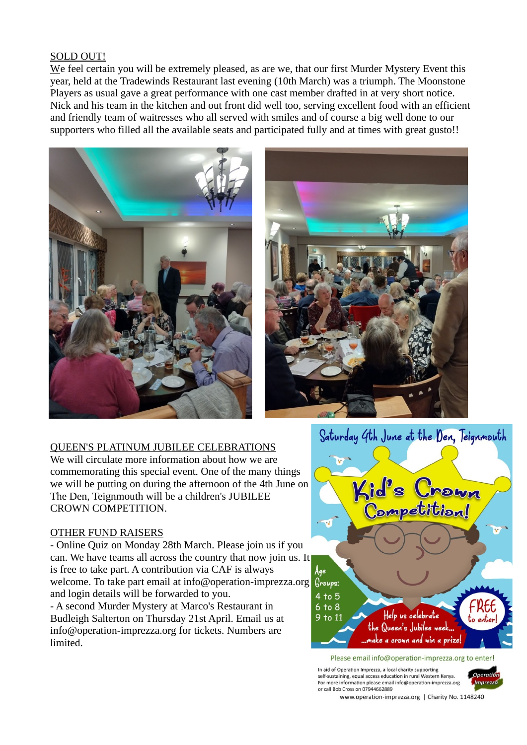## SOLD OUT!

We feel certain you will be extremely pleased, as are we, that our first Murder Mystery Event this year, held at the Tradewinds Restaurant last evening (10th March) was a triumph. The Moonstone Players as usual gave a great performance with one cast member drafted in at very short notice. Nick and his team in the kitchen and out front did well too, serving excellent food with an efficient and friendly team of waitresses who all served with smiles and of course a big well done to our supporters who filled all the available seats and participated fully and at times with great gusto!!





## QUEEN'S PLATINUM JUBILEE CELEBRATIONS

We will circulate more information about how we are commemorating this special event. One of the many things we will be putting on during the afternoon of the 4th June on The Den, Teignmouth will be a children's JUBILEE CROWN COMPETITION.

## OTHER FUND RAISERS

- Online Quiz on Monday 28th March. Please join us if you can. We have teams all across the country that now join us. It is free to take part. A contribution via CAF is always welcome. To take part email at info@operation-imprezza.org and login details will be forwarded to you.

- A second Murder Mystery at Marco's Restaurant in Budleigh Salterton on Thursday 21st April. Email us at info@operation-imprezza.org for tickets. Numbers are limited.



Please email info@operation-imprezza.org to enter!

In aid of Operation Imprezza, a local charity supporting Operation self-sustaining, equal access education in rural Western Kenya. For more information please email info@operation-imprezza.org<br>or call Bob Cross on 07944662889 Imprezza

www.operation-imprezza.org | Charity No. 1148240